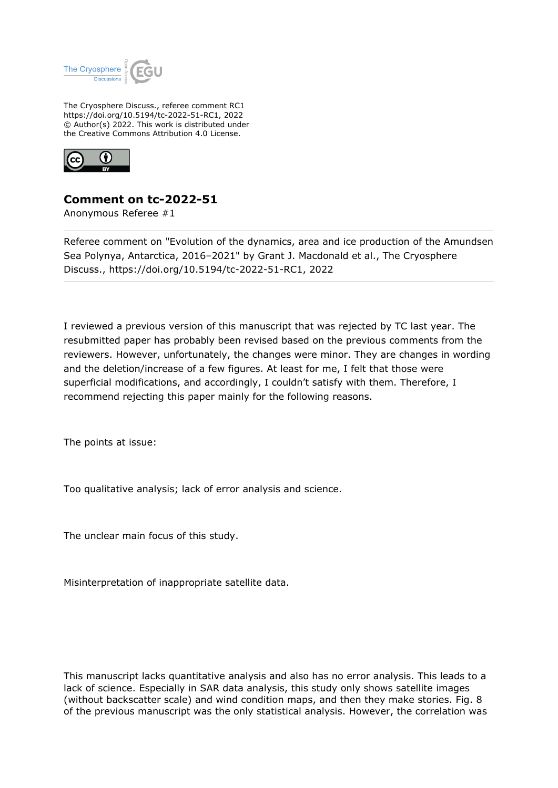

The Cryosphere Discuss., referee comment RC1 https://doi.org/10.5194/tc-2022-51-RC1, 2022 © Author(s) 2022. This work is distributed under the Creative Commons Attribution 4.0 License.



## **Comment on tc-2022-51**

Anonymous Referee #1

Referee comment on "Evolution of the dynamics, area and ice production of the Amundsen Sea Polynya, Antarctica, 2016–2021" by Grant J. Macdonald et al., The Cryosphere Discuss., https://doi.org/10.5194/tc-2022-51-RC1, 2022

I reviewed a previous version of this manuscript that was rejected by TC last year. The resubmitted paper has probably been revised based on the previous comments from the reviewers. However, unfortunately, the changes were minor. They are changes in wording and the deletion/increase of a few figures. At least for me, I felt that those were superficial modifications, and accordingly, I couldn't satisfy with them. Therefore, I recommend rejecting this paper mainly for the following reasons.

The points at issue:

Too qualitative analysis; lack of error analysis and science.

The unclear main focus of this study.

Misinterpretation of inappropriate satellite data.

This manuscript lacks quantitative analysis and also has no error analysis. This leads to a lack of science. Especially in SAR data analysis, this study only shows satellite images (without backscatter scale) and wind condition maps, and then they make stories. Fig. 8 of the previous manuscript was the only statistical analysis. However, the correlation was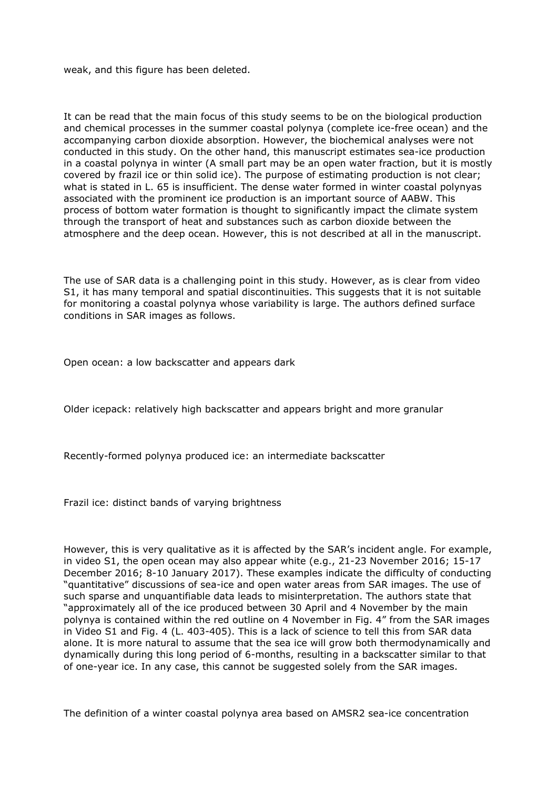weak, and this figure has been deleted.

It can be read that the main focus of this study seems to be on the biological production and chemical processes in the summer coastal polynya (complete ice-free ocean) and the accompanying carbon dioxide absorption. However, the biochemical analyses were not conducted in this study. On the other hand, this manuscript estimates sea-ice production in a coastal polynya in winter (A small part may be an open water fraction, but it is mostly covered by frazil ice or thin solid ice). The purpose of estimating production is not clear; what is stated in L. 65 is insufficient. The dense water formed in winter coastal polynyas associated with the prominent ice production is an important source of AABW. This process of bottom water formation is thought to significantly impact the climate system through the transport of heat and substances such as carbon dioxide between the atmosphere and the deep ocean. However, this is not described at all in the manuscript.

The use of SAR data is a challenging point in this study. However, as is clear from video S1, it has many temporal and spatial discontinuities. This suggests that it is not suitable for monitoring a coastal polynya whose variability is large. The authors defined surface conditions in SAR images as follows.

Open ocean: a low backscatter and appears dark

Older icepack: relatively high backscatter and appears bright and more granular

Recently-formed polynya produced ice: an intermediate backscatter

Frazil ice: distinct bands of varying brightness

However, this is very qualitative as it is affected by the SAR's incident angle. For example, in video S1, the open ocean may also appear white (e.g., 21-23 November 2016; 15-17 December 2016; 8-10 January 2017). These examples indicate the difficulty of conducting "quantitative" discussions of sea-ice and open water areas from SAR images. The use of such sparse and unquantifiable data leads to misinterpretation. The authors state that "approximately all of the ice produced between 30 April and 4 November by the main polynya is contained within the red outline on 4 November in Fig. 4" from the SAR images in Video S1 and Fig. 4 (L. 403-405). This is a lack of science to tell this from SAR data alone. It is more natural to assume that the sea ice will grow both thermodynamically and dynamically during this long period of 6-months, resulting in a backscatter similar to that of one-year ice. In any case, this cannot be suggested solely from the SAR images.

The definition of a winter coastal polynya area based on AMSR2 sea-ice concentration